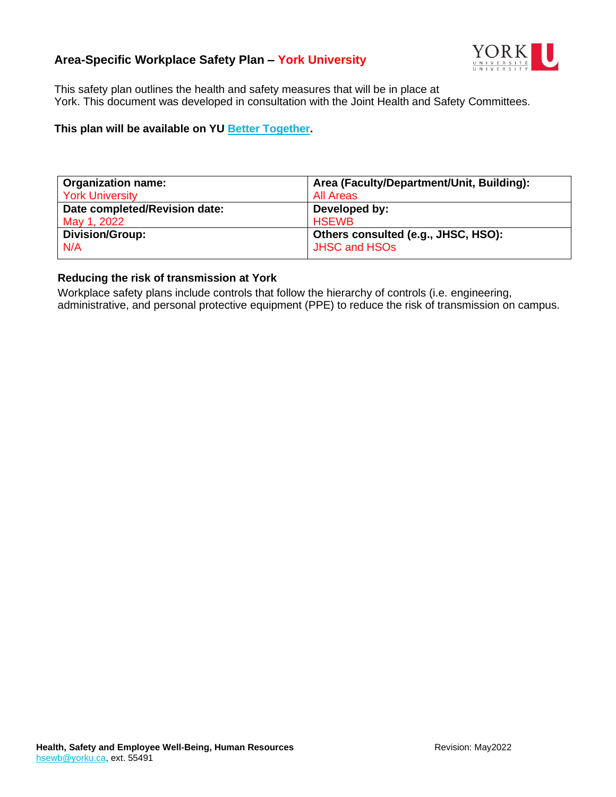# **Area-Specific Workplace Safety Plan – York University**



This safety plan outlines the health and safety measures that will be in place at York. This document was developed in consultation with the Joint Health and Safety Committees.

#### **This plan will be available on YU [Better Together.](https://www.yorku.ca/bettertogether/)**

| <b>Organization name:</b>     | Area (Faculty/Department/Unit, Building): |
|-------------------------------|-------------------------------------------|
| <b>York University</b>        | <b>All Areas</b>                          |
| Date completed/Revision date: | Developed by:                             |
| May 1, 2022                   | <b>HSEWB</b>                              |
| <b>Division/Group:</b>        | Others consulted (e.g., JHSC, HSO):       |
| N/A                           | <b>JHSC and HSOs</b>                      |

#### **Reducing the risk of transmission at York**

Workplace safety plans include controls that follow the hierarchy of controls (i.e. engineering, administrative, and personal protective equipment (PPE) to reduce the risk of transmission on campus.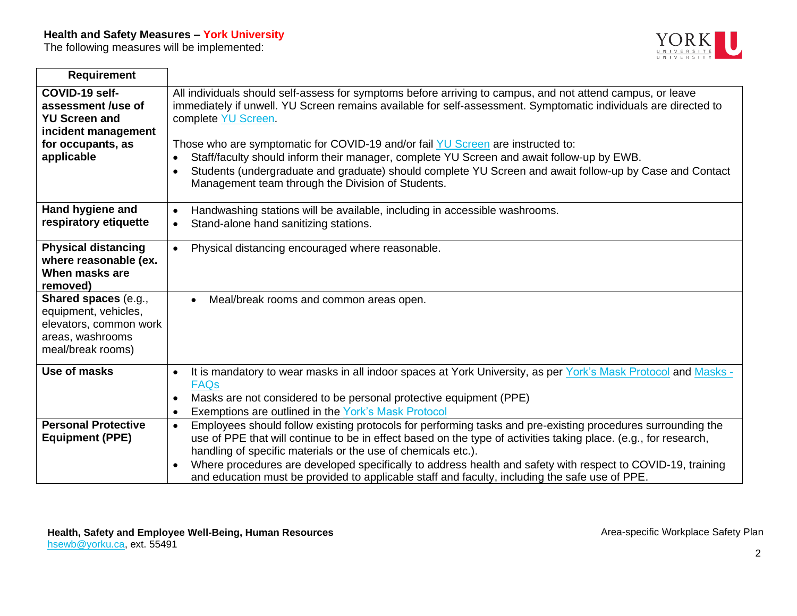# **Health and Safety Measures – York University**

The following measures will be implemented:



| <b>Requirement</b>                                                                                                     |                                                                                                                                                                                                                                                                                                                                                                                                                                                                                                                                                                                                                   |
|------------------------------------------------------------------------------------------------------------------------|-------------------------------------------------------------------------------------------------------------------------------------------------------------------------------------------------------------------------------------------------------------------------------------------------------------------------------------------------------------------------------------------------------------------------------------------------------------------------------------------------------------------------------------------------------------------------------------------------------------------|
| COVID-19 self-<br>assessment /use of<br><b>YU Screen and</b><br>incident management<br>for occupants, as<br>applicable | All individuals should self-assess for symptoms before arriving to campus, and not attend campus, or leave<br>immediately if unwell. YU Screen remains available for self-assessment. Symptomatic individuals are directed to<br>complete YU Screen.<br>Those who are symptomatic for COVID-19 and/or fail YU Screen are instructed to:<br>Staff/faculty should inform their manager, complete YU Screen and await follow-up by EWB.<br>Students (undergraduate and graduate) should complete YU Screen and await follow-up by Case and Contact<br>$\bullet$<br>Management team through the Division of Students. |
| Hand hygiene and<br>respiratory etiquette                                                                              | Handwashing stations will be available, including in accessible washrooms.<br>$\bullet$<br>Stand-alone hand sanitizing stations.<br>$\bullet$                                                                                                                                                                                                                                                                                                                                                                                                                                                                     |
| <b>Physical distancing</b><br>where reasonable (ex.<br>When masks are<br>removed)                                      | Physical distancing encouraged where reasonable.<br>$\bullet$                                                                                                                                                                                                                                                                                                                                                                                                                                                                                                                                                     |
| Shared spaces (e.g.,<br>equipment, vehicles,<br>elevators, common work<br>areas, washrooms<br>meal/break rooms)        | Meal/break rooms and common areas open.<br>$\bullet$                                                                                                                                                                                                                                                                                                                                                                                                                                                                                                                                                              |
| Use of masks                                                                                                           | It is mandatory to wear masks in all indoor spaces at York University, as per York's Mask Protocol and Masks -<br>$\bullet$<br><b>FAQs</b>                                                                                                                                                                                                                                                                                                                                                                                                                                                                        |
|                                                                                                                        | Masks are not considered to be personal protective equipment (PPE)<br>Exemptions are outlined in the York's Mask Protocol<br>$\bullet$                                                                                                                                                                                                                                                                                                                                                                                                                                                                            |
| <b>Personal Protective</b><br><b>Equipment (PPE)</b>                                                                   | Employees should follow existing protocols for performing tasks and pre-existing procedures surrounding the<br>$\bullet$<br>use of PPE that will continue to be in effect based on the type of activities taking place. (e.g., for research,<br>handling of specific materials or the use of chemicals etc.).                                                                                                                                                                                                                                                                                                     |
|                                                                                                                        | Where procedures are developed specifically to address health and safety with respect to COVID-19, training<br>and education must be provided to applicable staff and faculty, including the safe use of PPE.                                                                                                                                                                                                                                                                                                                                                                                                     |

2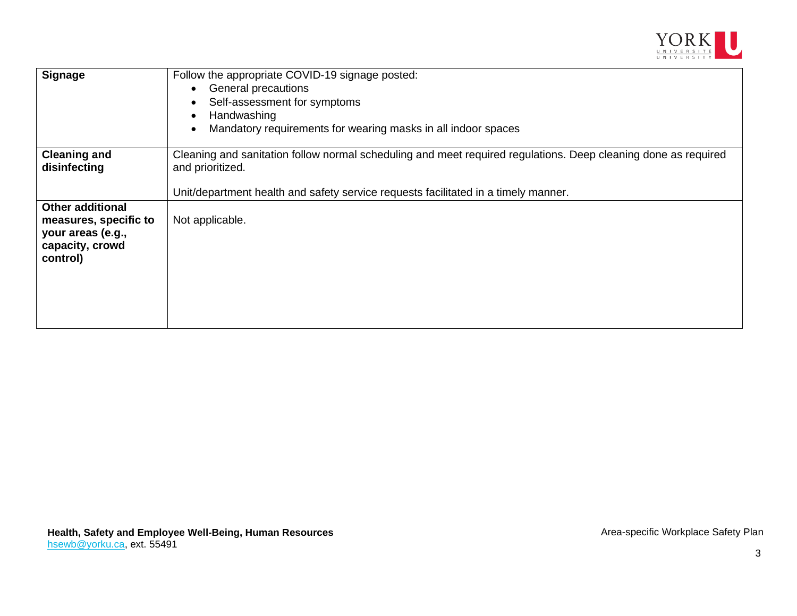

| <b>Signage</b>                                                                                       | Follow the appropriate COVID-19 signage posted:<br>General precautions<br>Self-assessment for symptoms<br>Handwashing<br>Mandatory requirements for wearing masks in all indoor spaces                                   |
|------------------------------------------------------------------------------------------------------|--------------------------------------------------------------------------------------------------------------------------------------------------------------------------------------------------------------------------|
| <b>Cleaning and</b><br>disinfecting                                                                  | Cleaning and sanitation follow normal scheduling and meet required regulations. Deep cleaning done as required<br>and prioritized.<br>Unit/department health and safety service requests facilitated in a timely manner. |
| <b>Other additional</b><br>measures, specific to<br>your areas (e.g.,<br>capacity, crowd<br>control) | Not applicable.                                                                                                                                                                                                          |